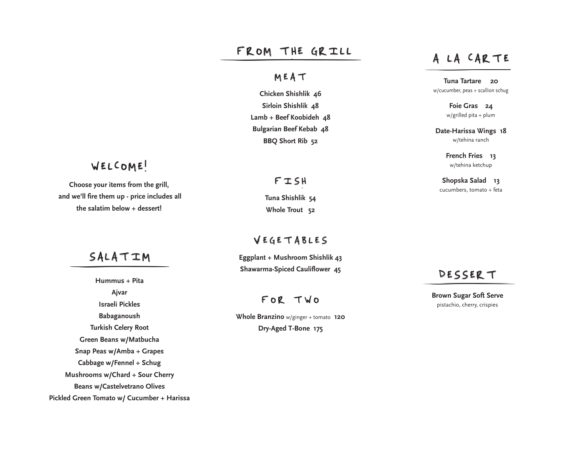# FROM THE GRILL A LA CARTE

## MEAT

**Chicken Shishlik 46 Sirloin Shishlik 48 Lamb + Beef Koobideh 48 Bulgarian Beef Kebab 48 BBQ Short Rib 52**

## WELCOME!

choose your items from the grill,<br>Choose your items from the grill,<br>etca **Choose your items** from the grill,  **and we'll fire them up - price includes all the salatim below + dessert!**

SALATIM

**Hummus + Pita Ajvar Israeli Pickles Babaganoush Turkish Celery Root Green Beans w/Matbucha Snap Peas w/Amba + Grapes Cabbage w/Fennel + Schug Mushrooms w/Chard + Sour Cherry Beans w/Castelvetrano Olives Pickled Green Tomato w/ Cucumber + Harissa**

## FISH

**Tuna Shishlik 54 Whole Trout 52**

### VEGETABLES

**Eggplant + Mushroom Shishlik 43 Shawarma-Spiced Cauliflower 45**

## FOR TWO

**Whole Branzino** w/ginger + tomato **120 Dry-Aged T-Bone 175**

**Tuna Tartare 20** w/cucumber, peas + scallion schug

> **Foie Gras 24** w/grilled pita + plum

**Date-Harissa Wings 18** w/tehina ranch

> **French Fries 13** w/tehina ketchup

**Shopska Salad 13**

## DESSERT

**Brown Sugar Soft Serve** pistachio, cherry, crispies